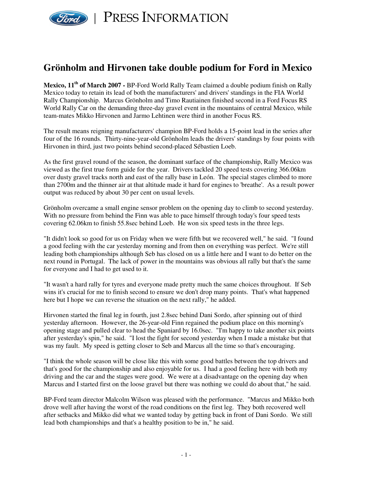

PRESS INFORMATION

## **Grönholm and Hirvonen take double podium for Ford in Mexico**

**Mexico, 11 th of March 2007 -** BP-Ford World Rally Team claimed a double podium finish on Rally Mexico today to retain its lead of both the manufacturers' and drivers' standings in the FIA World Rally Championship. Marcus Grönholm and Timo Rautiainen finished second in a Ford Focus RS World Rally Car on the demanding three-day gravel event in the mountains of central Mexico, while team-mates Mikko Hirvonen and Jarmo Lehtinen were third in another Focus RS.

The result means reigning manufacturers' champion BP-Ford holds a 15-point lead in the series after four of the 16 rounds. Thirty-nine-year-old Grönholm leads the drivers' standings by four points with Hirvonen in third, just two points behind second-placed Sébastien Loeb.

As the first gravel round of the season, the dominant surface of the championship, Rally Mexico was viewed as the first true form guide for the year. Drivers tackled 20 speed tests covering 366.06km over dusty gravel tracks north and east of the rally base in León. The special stages climbed to more than 2700m and the thinner air at that altitude made it hard for engines to 'breathe'. As a result power output was reduced by about 30 per cent on usual levels.

Grönholm overcame a small engine sensor problem on the opening day to climb to second yesterday. With no pressure from behind the Finn was able to pace himself through today's four speed tests covering 62.06km to finish 55.8sec behind Loeb. He won six speed tests in the three legs.

"It didn't look so good for us on Friday when we were fifth but we recovered well," he said. "I found a good feeling with the car yesterday morning and from then on everything was perfect. We're still leading both championships although Seb has closed on us a little here and I want to do better on the next round in Portugal. The lack of power in the mountains was obvious all rally but that's the same for everyone and I had to get used to it.

"It wasn't a hard rally for tyres and everyone made pretty much the same choices throughout. If Seb wins it's crucial for me to finish second to ensure we don't drop many points. That's what happened here but I hope we can reverse the situation on the next rally," he added.

Hirvonen started the final leg in fourth, just 2.8sec behind Dani Sordo, after spinning out of third yesterday afternoon. However, the 26-year-old Finn regained the podium place on this morning's opening stage and pulled clear to head the Spaniard by 16.0sec. "I'm happy to take another six points after yesterday's spin," he said. "I lost the fight for second yesterday when I made a mistake but that was my fault. My speed is getting closer to Seb and Marcus all the time so that's encouraging.

"I think the whole season will be close like this with some good battles between the top drivers and that's good for the championship and also enjoyable for us. I had a good feeling here with both my driving and the car and the stages were good. We were at a disadvantage on the opening day when Marcus and I started first on the loose gravel but there was nothing we could do about that," he said.

BP-Ford team director Malcolm Wilson was pleased with the performance. "Marcus and Mikko both drove well after having the worst of the road conditions on the first leg. They both recovered well after setbacks and Mikko did what we wanted today by getting back in front of Dani Sordo. We still lead both championships and that's a healthy position to be in," he said.